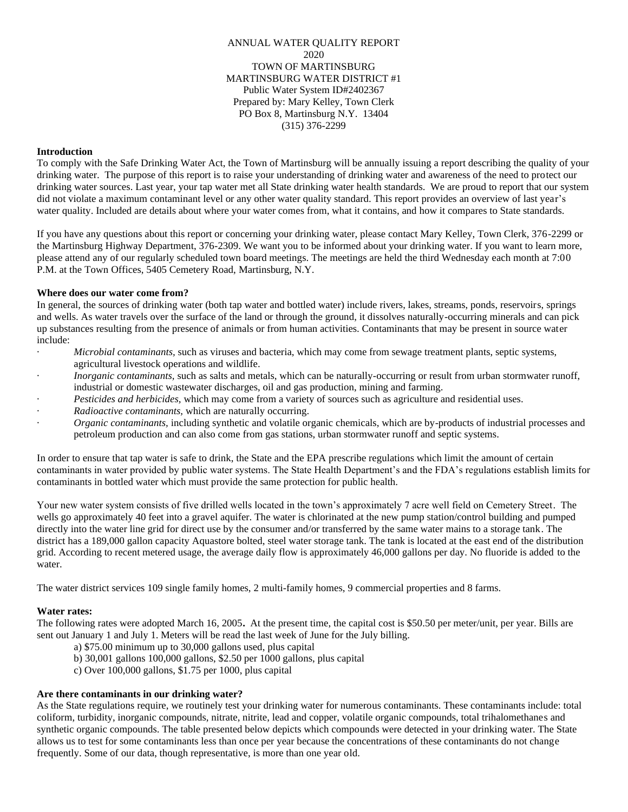## ANNUAL WATER QUALITY REPORT 2020 TOWN OF MARTINSBURG MARTINSBURG WATER DISTRICT #1 Public Water System ID#2402367 Prepared by: Mary Kelley, Town Clerk PO Box 8, Martinsburg N.Y. 13404 (315) 376-2299

## **Introduction**

To comply with the Safe Drinking Water Act, the Town of Martinsburg will be annually issuing a report describing the quality of your drinking water. The purpose of this report is to raise your understanding of drinking water and awareness of the need to protect our drinking water sources. Last year, your tap water met all State drinking water health standards. We are proud to report that our system did not violate a maximum contaminant level or any other water quality standard. This report provides an overview of last year's water quality. Included are details about where your water comes from, what it contains, and how it compares to State standards.

If you have any questions about this report or concerning your drinking water, please contact Mary Kelley, Town Clerk, 376-2299 or the Martinsburg Highway Department, 376-2309. We want you to be informed about your drinking water. If you want to learn more, please attend any of our regularly scheduled town board meetings. The meetings are held the third Wednesday each month at 7:00 P.M. at the Town Offices, 5405 Cemetery Road, Martinsburg, N.Y.

### **Where does our water come from?**

In general, the sources of drinking water (both tap water and bottled water) include rivers, lakes, streams, ponds, reservoirs, springs and wells. As water travels over the surface of the land or through the ground, it dissolves naturally-occurring minerals and can pick up substances resulting from the presence of animals or from human activities. Contaminants that may be present in source water include:

- *Microbial contaminants*, such as viruses and bacteria, which may come from sewage treatment plants, septic systems, agricultural livestock operations and wildlife.
- *Inorganic contaminants*, such as salts and metals, which can be naturally-occurring or result from urban stormwater runoff, industrial or domestic wastewater discharges, oil and gas production, mining and farming.
- · *Pesticides and herbicides,* which may come from a variety of sources such as agriculture and residential uses.
- · *Radioactive contaminants,* which are naturally occurring.
- · *Organic contaminants,* including synthetic and volatile organic chemicals, which are by-products of industrial processes and petroleum production and can also come from gas stations, urban stormwater runoff and septic systems.

In order to ensure that tap water is safe to drink, the State and the EPA prescribe regulations which limit the amount of certain contaminants in water provided by public water systems. The State Health Department's and the FDA's regulations establish limits for contaminants in bottled water which must provide the same protection for public health.

Your new water system consists of five drilled wells located in the town's approximately 7 acre well field on Cemetery Street. The wells go approximately 40 feet into a gravel aquifer. The water is chlorinated at the new pump station/control building and pumped directly into the water line grid for direct use by the consumer and/or transferred by the same water mains to a storage tank. The district has a 189,000 gallon capacity Aquastore bolted, steel water storage tank. The tank is located at the east end of the distribution grid. According to recent metered usage, the average daily flow is approximately 46,000 gallons per day. No fluoride is added to the water.

The water district services 109 single family homes, 2 multi-family homes, 9 commercial properties and 8 farms.

### **Water rates:**

The following rates were adopted March 16, 2005**.** At the present time, the capital cost is \$50.50 per meter/unit, per year. Bills are sent out January 1 and July 1. Meters will be read the last week of June for the July billing.

- a) \$75.00 minimum up to 30,000 gallons used, plus capital
- b) 30,001 gallons 100,000 gallons, \$2.50 per 1000 gallons, plus capital
- c) Over 100,000 gallons, \$1.75 per 1000, plus capital

### **Are there contaminants in our drinking water?**

As the State regulations require, we routinely test your drinking water for numerous contaminants. These contaminants include: total coliform, turbidity, inorganic compounds, nitrate, nitrite, lead and copper, volatile organic compounds, total trihalomethanes and synthetic organic compounds. The table presented below depicts which compounds were detected in your drinking water. The State allows us to test for some contaminants less than once per year because the concentrations of these contaminants do not change frequently. Some of our data, though representative, is more than one year old.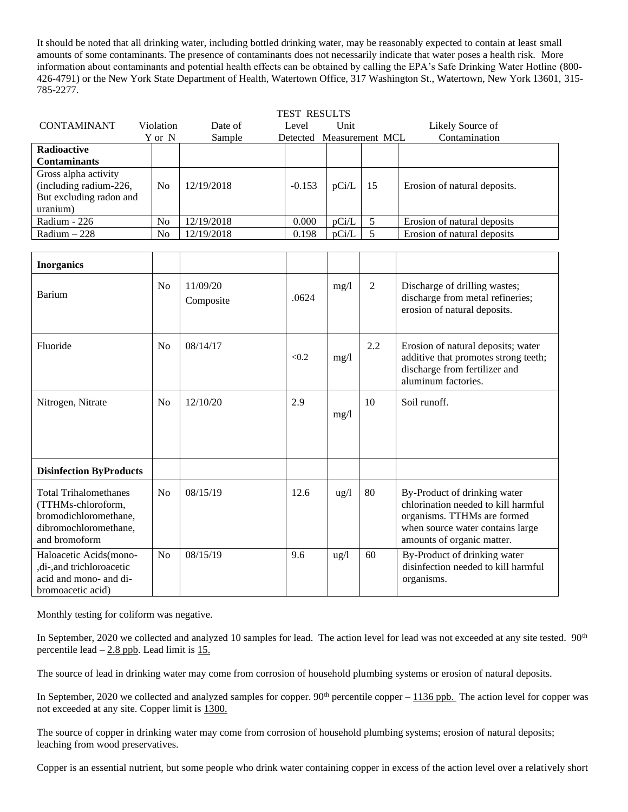It should be noted that all drinking water, including bottled drinking water, may be reasonably expected to contain at least small amounts of some contaminants. The presence of contaminants does not necessarily indicate that water poses a health risk. More information about contaminants and potential health effects can be obtained by calling the EPA's Safe Drinking Water Hotline (800- 426-4791) or the New York State Department of Health, Watertown Office, 317 Washington St., Watertown, New York 13601, 315- 785-2277.

| <b>TEST RESULTS</b>     |                |            |                          |       |     |                              |  |  |  |  |
|-------------------------|----------------|------------|--------------------------|-------|-----|------------------------------|--|--|--|--|
| <b>CONTAMINANT</b>      | Violation      | Date of    | Level                    | Unit  |     | Likely Source of             |  |  |  |  |
|                         | Y or N         | Sample     | Detected Measurement MCL |       |     | Contamination                |  |  |  |  |
| <b>Radioactive</b>      |                |            |                          |       |     |                              |  |  |  |  |
| <b>Contaminants</b>     |                |            |                          |       |     |                              |  |  |  |  |
| Gross alpha activity    |                |            |                          |       |     |                              |  |  |  |  |
| (including radium-226,  | N <sub>0</sub> | 12/19/2018 | $-0.153$                 | pCi/L | -15 | Erosion of natural deposits. |  |  |  |  |
| But excluding radon and |                |            |                          |       |     |                              |  |  |  |  |
| uranium)                |                |            |                          |       |     |                              |  |  |  |  |
| Radium - 226            | No             | 12/19/2018 | 0.000                    | pCi/L | 5   | Erosion of natural deposits  |  |  |  |  |
| $Radium - 228$          | No             | 12/19/2018 | 0.198                    | pCi/L |     | Erosion of natural deposits  |  |  |  |  |

| <b>Inorganics</b>                                                                                                     |    |                       |       |                 |     |                                                                                                                                                                      |
|-----------------------------------------------------------------------------------------------------------------------|----|-----------------------|-------|-----------------|-----|----------------------------------------------------------------------------------------------------------------------------------------------------------------------|
| Barium                                                                                                                | No | 11/09/20<br>Composite | .0624 | mg/1            | 2   | Discharge of drilling wastes;<br>discharge from metal refineries;<br>erosion of natural deposits.                                                                    |
| Fluoride                                                                                                              | No | 08/14/17              | < 0.2 | mg/l            | 2.2 | Erosion of natural deposits; water<br>additive that promotes strong teeth;<br>discharge from fertilizer and<br>aluminum factories.                                   |
| Nitrogen, Nitrate                                                                                                     | No | 12/10/20              | 2.9   | mg/1            | 10  | Soil runoff.                                                                                                                                                         |
| <b>Disinfection ByProducts</b>                                                                                        |    |                       |       |                 |     |                                                                                                                                                                      |
| <b>Total Trihalomethanes</b><br>(TTHMs-chloroform,<br>bromodichloromethane,<br>dibromochloromethane,<br>and bromoform | No | 08/15/19              | 12.6  | $\frac{u g}{l}$ | 80  | By-Product of drinking water<br>chlorination needed to kill harmful<br>organisms. TTHMs are formed<br>when source water contains large<br>amounts of organic matter. |
| Haloacetic Acids(mono-<br>,di-,and trichloroacetic<br>acid and mono- and di-<br>bromoacetic acid)                     | No | 08/15/19              | 9.6   | $\frac{u g}{l}$ | 60  | By-Product of drinking water<br>disinfection needed to kill harmful<br>organisms.                                                                                    |

Monthly testing for coliform was negative.

In September, 2020 we collected and analyzed 10 samples for lead. The action level for lead was not exceeded at any site tested. 90<sup>th</sup> percentile lead  $-2.8$  ppb. Lead limit is 15.

The source of lead in drinking water may come from corrosion of household plumbing systems or erosion of natural deposits.

In September, 2020 we collected and analyzed samples for copper.  $90<sup>th</sup>$  percentile copper –  $1136$  ppb. The action level for copper was not exceeded at any site. Copper limit is 1300.

The source of copper in drinking water may come from corrosion of household plumbing systems; erosion of natural deposits; leaching from wood preservatives.

Copper is an essential nutrient, but some people who drink water containing copper in excess of the action level over a relatively short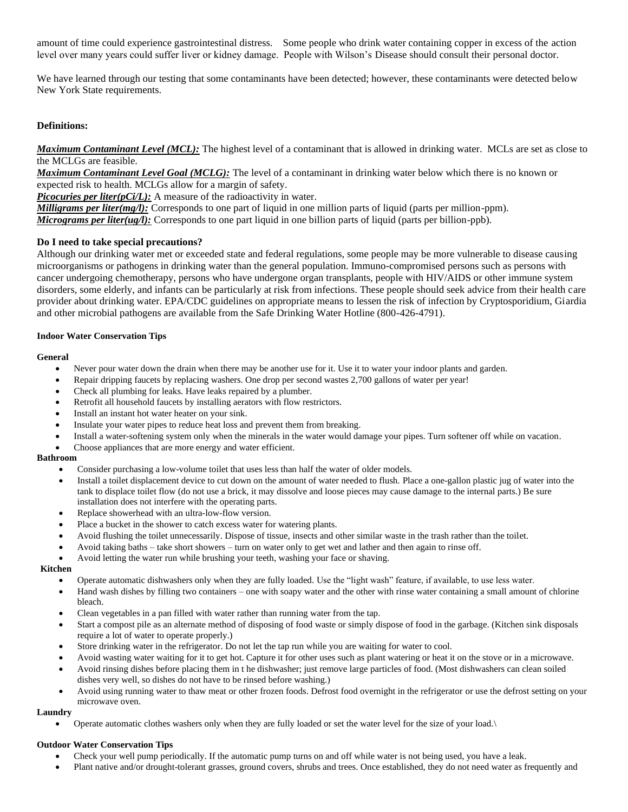amount of time could experience gastrointestinal distress. Some people who drink water containing copper in excess of the action level over many years could suffer liver or kidney damage. People with Wilson's Disease should consult their personal doctor.

We have learned through our testing that some contaminants have been detected; however, these contaminants were detected below New York State requirements.

# **Definitions:**

*Maximum Contaminant Level (MCL):* The highest level of a contaminant that is allowed in drinking water. MCLs are set as close to the MCLGs are feasible.

*Maximum Contaminant Level Goal (MCLG):* The level of a contaminant in drinking water below which there is no known or expected risk to health. MCLGs allow for a margin of safety.

**Picocuries per liter(pCi/L):** A measure of the radioactivity in water.

*Milligrams per liter(mg/l):* Corresponds to one part of liquid in one million parts of liquid (parts per million-ppm). *Micrograms per liter(ug/l):* Corresponds to one part liquid in one billion parts of liquid (parts per billion-ppb).

# **Do I need to take special precautions?**

Although our drinking water met or exceeded state and federal regulations, some people may be more vulnerable to disease causing microorganisms or pathogens in drinking water than the general population. Immuno-compromised persons such as persons with cancer undergoing chemotherapy, persons who have undergone organ transplants, people with HIV/AIDS or other immune system disorders, some elderly, and infants can be particularly at risk from infections. These people should seek advice from their health care provider about drinking water. EPA/CDC guidelines on appropriate means to lessen the risk of infection by Cryptosporidium, Giardia and other microbial pathogens are available from the Safe Drinking Water Hotline (800-426-4791).

### **Indoor Water Conservation Tips**

### **General**

- Never pour water down the drain when there may be another use for it. Use it to water your indoor plants and garden.
- Repair dripping faucets by replacing washers. One drop per second wastes 2,700 gallons of water per year!
- Check all plumbing for leaks. Have leaks repaired by a plumber.
- Retrofit all household faucets by installing aerators with flow restrictors.
- Install an instant hot water heater on your sink.
- Insulate your water pipes to reduce heat loss and prevent them from breaking.
- Install a water-softening system only when the minerals in the water would damage your pipes. Turn softener off while on vacation.
- Choose appliances that are more energy and water efficient.

### **Bathroom**

- Consider purchasing a low-volume toilet that uses less than half the water of older models.
- Install a toilet displacement device to cut down on the amount of water needed to flush. Place a one-gallon plastic jug of water into the tank to displace toilet flow (do not use a brick, it may dissolve and loose pieces may cause damage to the internal parts.) Be sure installation does not interfere with the operating parts.
- Replace showerhead with an ultra-low-flow version.
- Place a bucket in the shower to catch excess water for watering plants.
- Avoid flushing the toilet unnecessarily. Dispose of tissue, insects and other similar waste in the trash rather than the toilet.
- Avoid taking baths take short showers turn on water only to get wet and lather and then again to rinse off.
- Avoid letting the water run while brushing your teeth, washing your face or shaving.

### **Kitchen**

- Operate automatic dishwashers only when they are fully loaded. Use the "light wash" feature, if available, to use less water.
- Hand wash dishes by filling two containers one with soapy water and the other with rinse water containing a small amount of chlorine bleach.
- Clean vegetables in a pan filled with water rather than running water from the tap.
- Start a compost pile as an alternate method of disposing of food waste or simply dispose of food in the garbage. (Kitchen sink disposals require a lot of water to operate properly.)
- Store drinking water in the refrigerator. Do not let the tap run while you are waiting for water to cool.
- Avoid wasting water waiting for it to get hot. Capture it for other uses such as plant watering or heat it on the stove or in a microwave.
- Avoid rinsing dishes before placing them in t he dishwasher; just remove large particles of food. (Most dishwashers can clean soiled dishes very well, so dishes do not have to be rinsed before washing.)
- Avoid using running water to thaw meat or other frozen foods. Defrost food overnight in the refrigerator or use the defrost setting on your microwave oven.

### **Laundry**

• Operate automatic clothes washers only when they are fully loaded or set the water level for the size of your load.\

### **Outdoor Water Conservation Tips**

- Check your well pump periodically. If the automatic pump turns on and off while water is not being used, you have a leak.
- Plant native and/or drought-tolerant grasses, ground covers, shrubs and trees. Once established, they do not need water as frequently and